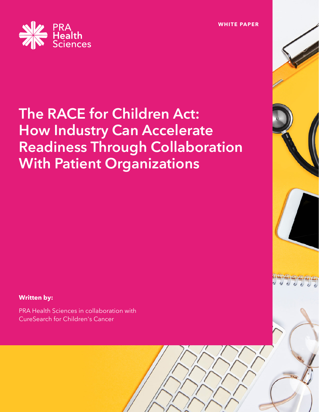

# **The RACE for Children Act: How Industry Can Accelerate Readiness Through Collaboration With Patient Organizations**

**Written by:**

PRA Health Sciences in collaboration with CureSearch for Children's Cancer

**WHITE PAPER**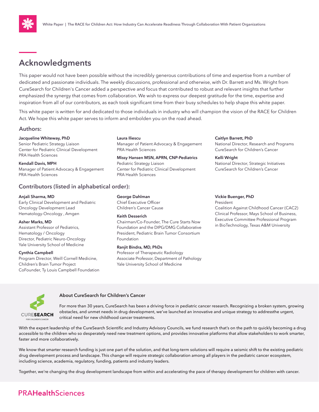# **Acknowledgments**

This paper would not have been possible without the incredibly generous contributions of time and expertise from a number of dedicated and passionate individuals. The weekly discussions, professional and otherwise, with Dr. Barrett and Ms. Wright from CureSearch for Children's Cancer added a perspective and focus that contributed to robust and relevant insights that further emphasized the synergy that comes from collaboration. We wish to express our deepest gratitude for the time, expertise and inspiration from all of our contributors, as each took significant time from their busy schedules to help shape this white paper.

This white paper is written for and dedicated to those individuals in industry who will champion the vision of the RACE for Children Act. We hope this white paper serves to inform and embolden you on the road ahead.

### **Authors:**

#### **Jacqueline Whiteway, PhD**

Senior Pediatric Strategy Liaison Center for Pediatric Clinical Development PRA Health Sciences

**Kendall Davis, MPH** Manager of Patient Advocacy & Engagement PRA Health Sciences

### **Contributors (listed in alphabetical order):**

#### **Anjali Sharma, MD**

Early Clinical Development and Pediatric Oncology Development Lead Hematology-Oncology , Amgen

#### **Asher Marks, MD**

Assistant Professor of Pediatrics, Hematology / Oncology Director, Pediatric Neuro-Oncology Yale University School of Medicine

#### **Cynthia Campbell**

Program Director, Weill Cornell Medicine, Children's Brain Tumor Project CoFounder, Ty Louis Campbell Foundation **Laura Iliescu**  Manager of Patient Advocacy & Engagement PRA Health Sciences

**Missy Hansen MSN, APRN, CNP-Pediatrics** Pediatric Strategy Liaison Center for Pediatric Clinical Development PRA Health Sciences

**Caitlyn Barrett, PhD**

National Director, Research and Programs CureSearch for Children's Cancer

**Kelli Wright** National Director, Strategic Initiatives CureSearch for Children's Cancer

### **Vickie Buenger, PhD**

President

Coalition Against Childhood Cancer (CAC2) Clinical Professor, Mays School of Business, Executive Committee Professional Program in BioTechnology, Texas A&M University

**George Dahlman** Chief Executive Officer Children's Cancer Cause

#### **Keith Desserich**

Chairman/Co-Founder, The Cure Starts Now Foundation and the DIPG/DMG Collaborative President, Pediatric Brain Tumor Consortium Foundation

#### **Ranjit Bindra, MD, PhDs**

Professor of Therapeutic Radiology Associate Professor, Department of Pathology Yale University School of Medicine



#### **About CureSearch for Children's Cancer**

For more than 30 years, CureSearch has been a driving force in pediatric cancer research. Recognizing a broken system, growing obstacles, and unmet needs in drug development, we've launched an innovative and unique strategy to addressthe urgent, critical need for new childhood cancer treatments.

With the expert leadership of the CureSearch Scientific and Industry Advisory Councils, we fund research that's on the path to quickly becoming a drug accessible to the children who so desperately need new treatment options, and provides innovative platforms that allow stakeholders to work smarter, faster and more collaboratively.

We know that smarter research funding is just one part of the solution, and that long-term solutions will require a seismic shift to the existing pediatric drug development process and landscape. This change will require strategic collaboration among all players in the pediatric cancer ecosystem, including science, academia, regulatory, funding, patients and industry leaders.

Together, we're changing the drug development landscape from within and accelerating the pace of therapy development for children with cancer.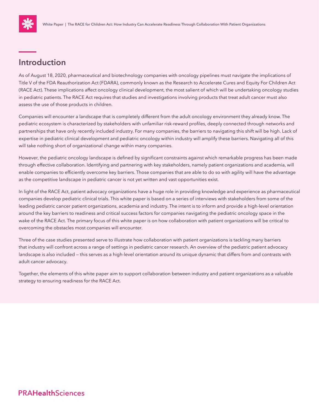

## **Introduction**

As of August 18, 2020, pharmaceutical and biotechnology companies with oncology pipelines must navigate the implications of Title V of the FDA Reauthorization Act (FDARA), commonly known as the Research to Accelerate Cures and Equity For Children Act (RACE Act). These implications affect oncology clinical development, the most salient of which will be undertaking oncology studies in pediatric patients. The RACE Act requires that studies and investigations involving products that treat adult cancer must also assess the use of those products in children.

Companies will encounter a landscape that is completely different from the adult oncology environment they already know. The pediatric ecosystem is characterized by stakeholders with unfamiliar risk-reward profiles, deeply connected through networks and partnerships that have only recently included industry. For many companies, the barriers to navigating this shift will be high. Lack of expertise in pediatric clinical development and pediatric oncology within industry will amplify these barriers. Navigating all of this will take nothing short of organizational change within many companies.

However, the pediatric oncology landscape is defined by significant constraints against which remarkable progress has been made through effective collaboration. Identifying and partnering with key stakeholders, namely patient organizations and academia, will enable companies to efficiently overcome key barriers. Those companies that are able to do so with agility will have the advantage as the competitive landscape in pediatric cancer is not yet written and vast opportunities exist.

In light of the RACE Act, patient advocacy organizations have a huge role in providing knowledge and experience as pharmaceutical companies develop pediatric clinical trials. This white paper is based on a series of interviews with stakeholders from some of the leading pediatric cancer patient organizations, academia and industry. The intent is to inform and provide a high-level orientation around the key barriers to readiness and critical success factors for companies navigating the pediatric oncology space in the wake of the RACE Act. The primary focus of this white paper is on how collaboration with patient organizations will be critical to overcoming the obstacles most companies will encounter.

Three of the case studies presented serve to illustrate how collaboration with patient organizations is tackling many barriers that industry will confront across a range of settings in pediatric cancer research. An overview of the pediatric patient advocacy landscape is also included — this serves as a high-level orientation around its unique dynamic that differs from and contrasts with adult cancer advocacy.

Together, the elements of this white paper aim to support collaboration between industry and patient organizations as a valuable strategy to ensuring readiness for the RACE Act.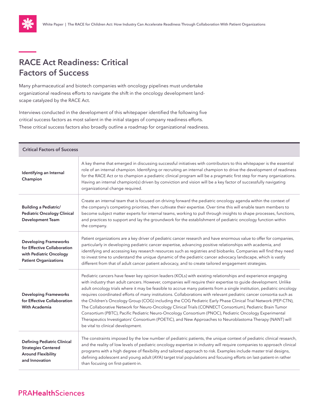

# **RACE Act Readiness: Critical Factors of Success**

Many pharmaceutical and biotech companies with oncology pipelines must undertake organizational readiness efforts to navigate the shift in the oncology development landscape catalyzed by the RACE Act.

Interviews conducted in the development of this whitepaper identified the following five critical success factors as most salient in the initial stages of company readiness efforts. These critical success factors also broadly outline a roadmap for organizational readiness.

| <b>Critical Factors of Success</b>                                                                                     |                                                                                                                                                                                                                                                                                                                                                                                                                                                                                                                                                                                                                                                                                                                                                                                                                                                                                                                                                                     |
|------------------------------------------------------------------------------------------------------------------------|---------------------------------------------------------------------------------------------------------------------------------------------------------------------------------------------------------------------------------------------------------------------------------------------------------------------------------------------------------------------------------------------------------------------------------------------------------------------------------------------------------------------------------------------------------------------------------------------------------------------------------------------------------------------------------------------------------------------------------------------------------------------------------------------------------------------------------------------------------------------------------------------------------------------------------------------------------------------|
| Identifying an Internal<br>Champion                                                                                    | A key theme that emerged in discussing successful initiatives with contributors to this whitepaper is the essential<br>role of an internal champion. Identifying or recruiting an internal champion to drive the development of readiness<br>for the RACE Act or to champion a pediatric clinical program will be a pragmatic first step for many organizations.<br>Having an internal champion(s) driven by conviction and vision will be a key factor of successfully navigating<br>organizational change required.                                                                                                                                                                                                                                                                                                                                                                                                                                               |
| <b>Building a Pediatric/</b><br><b>Pediatric Oncology Clinical</b><br><b>Development Team</b>                          | Create an internal team that is focused on driving forward the pediatric oncology agenda within the context of<br>the company's competing priorities, then cultivate their expertise. Over time this will enable team members to<br>become subject matter experts for internal teams, working to pull through insights to shape processes, functions,<br>and practices to support and lay the groundwork for the establishment of pediatric oncology function within<br>the company.                                                                                                                                                                                                                                                                                                                                                                                                                                                                                |
| <b>Developing Frameworks</b><br>for Effective Collaboration<br>with Pediatric Oncology<br><b>Patient Organizations</b> | Patient organizations are a key driver of pediatric cancer research and have enormous value to offer for companies,<br>particularly in developing pediatric cancer expertise, advancing positive relationships with academia, and<br>identifying and accessing key research resources such as registries and biobanks. Companies will find they need<br>to invest time to understand the unique dynamic of the pediatric cancer advocacy landscape, which is vastly<br>different from that of adult cancer patient advocacy, and to create tailored engagement strategies.                                                                                                                                                                                                                                                                                                                                                                                          |
| <b>Developing Frameworks</b><br>for Effective Collaboration<br><b>With Academia</b>                                    | Pediatric cancers have fewer key opinion leaders (KOLs) with existing relationships and experience engaging<br>with industry than adult cancers. However, companies will require their expertise to guide development. Unlike<br>adult oncology trials where it may be feasible to accrue many patients from a single institution, pediatric oncology<br>requires coordinated efforts of many institutions. Collaborations with relevant pediatric cancer consortia such as<br>the Children's Oncology Group (COG) including the COG Pediatric Early Phase Clinical Trial Network (PEP-CTN),<br>The Collaborative Network for Neuro-Oncology Clinical Trials (CONNECT Consortium), Pediatric Brain Tumor<br>Consortium (PBTC), Pacific Pediatric Neuro-Oncology Consortium (PNOC), Pediatric Oncology Experimental<br>Therapeutics Investigators' Consortium (POETIC), and New Approaches to Neuroblastoma Therapy (NANT) will<br>be vital to clinical development. |
| <b>Defining Pediatric Clinical</b><br><b>Strategies Centered</b><br><b>Around Flexibility</b><br>and Innovation        | The constraints imposed by the low number of pediatric patients, the unique context of pediatric clinical research,<br>and the reality of low levels of pediatric oncology expertise in industry will require companies to approach clinical<br>programs with a high degree of flexibility and tailored approach to risk. Examples include master trial designs,<br>defining adolescent and young adult (AYA) target trial populations and focusing efforts on last-patient-in rather<br>than focusing on first-patient-in.                                                                                                                                                                                                                                                                                                                                                                                                                                         |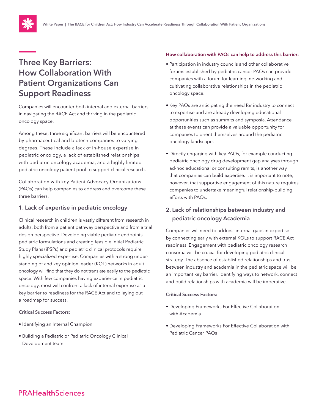

# **Three Key Barriers: How Collaboration With Patient Organizations Can Support Readiness**

Companies will encounter both internal and external barriers in navigating the RACE Act and thriving in the pediatric oncology space.

Among these, three significant barriers will be encountered by pharmaceutical and biotech companies to varying degrees. These include a lack of in-house expertise in pediatric oncology, a lack of established relationships with pediatric oncology academia, and a highly limited pediatric oncology patient pool to support clinical research.

Collaboration with key Patient Advocacy Organizations (PAOs) can help companies to address and overcome these three barriers.

### **1. Lack of expertise in pediatric oncology**

Clinical research in children is vastly different from research in adults, both from a patient pathway perspective and from a trial design perspective. Developing viable pediatric endpoints, pediatric formulations and creating feasible initial Pediatric Study Plans (iPSPs) and pediatric clinical protocols require highly specialized expertise. Companies with a strong understanding of and key opinion leader (KOL) networks in adult oncology will find that they do not translate easily to the pediatric space. With few companies having experience in pediatric oncology, most will confront a lack of internal expertise as a key barrier to readiness for the RACE Act and to laying out a roadmap for success.

### **Critical Success Factors:**

- Identifying an Internal Champion
- Building a Pediatric or Pediatric Oncology Clinical Development team

### **How collaboration with PAOs can help to address this barrier:**

- Participation in industry councils and other collaborative forums established by pediatric cancer PAOs can provide companies with a forum for learning, networking and cultivating collaborative relationships in the pediatric oncology space.
- Key PAOs are anticipating the need for industry to connect to expertise and are already developing educational opportunities such as summits and symposia. Attendance at these events can provide a valuable opportunity for companies to orient themselves around the pediatric oncology landscape.
- Directly engaging with key PAOs, for example conducting pediatric oncology drug development gap analyses through ad-hoc educational or consulting remits, is another way that companies can build expertise. It is important to note, however, that supportive engagement of this nature requires companies to undertake meaningful relationship-building efforts with PAOs.

### **2. Lack of relationships between industry and pediatric oncology Academia**

Companies will need to address internal gaps in expertise by connecting early with external KOLs to support RACE Act readiness. Engagement with pediatric oncology research consortia will be crucial for developing pediatric clinical strategy. The absence of established relationships and trust between industry and academia in the pediatric space will be an important key barrier. Identifying ways to network, connect and build relationships with academia will be imperative.

### **Critical Success Factors:**

- Developing Frameworks For Effective Collaboration with Academia
- Developing Frameworks For Effective Collaboration with Pediatric Cancer PAOs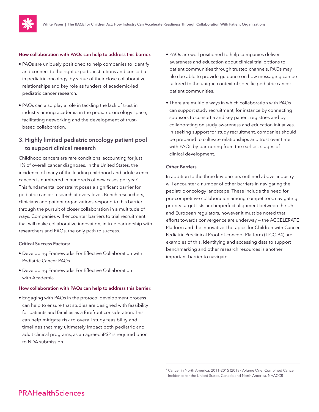

#### **How collaboration with PAOs can help to address this barrier:**

- PAOs are uniquely positioned to help companies to identify and connect to the right experts, institutions and consortia in pediatric oncology, by virtue of their close collaborative relationships and key role as funders of academic-led pediatric cancer research.
- PAOs can also play a role in tackling the lack of trust in industry among academia in the pediatric oncology space, facilitating networking and the development of trustbased collaboration.

### **3. Highly limited pediatric oncology patient pool to support clinical research**

Childhood cancers are rare conditions, accounting for just 1% of overall cancer diagnoses. In the United States, the incidence of many of the leading childhood and adolescence cancers is numbered in hundreds of new cases per year<sup>1</sup>. This fundamental constraint poses a significant barrier for pediatric cancer research at every level. Bench researchers, clinicians and patient organizations respond to this barrier through the pursuit of closer collaboration in a multitude of ways. Companies will encounter barriers to trial recruitment that will make collaborative innovation, in true partnership with researchers and PAOs, the only path to success.

#### **Critical Success Factors:**

- Developing Frameworks For Effective Collaboration with Pediatric Cancer PAOs
- Developing Frameworks For Effective Collaboration with Academia

#### **How collaboration with PAOs can help to address this barrier:**

• Engaging with PAOs in the protocol development process can help to ensure that studies are designed with feasibility for patients and families as a forefront consideration. This can help mitigate risk to overall study feasibility and timelines that may ultimately impact both pediatric and adult clinical programs, as an agreed iPSP is required prior to NDA submission.

- PAOs are well positioned to help companies deliver awareness and education about clinical trial options to patient communities through trusted channels. PAOs may also be able to provide guidance on how messaging can be tailored to the unique context of specific pediatric cancer patient communities.
- There are multiple ways in which collaboration with PAOs can support study recruitment, for instance by connecting sponsors to consortia and key patient registries and by collaborating on study awareness and education initiatives. In seeking support for study recruitment, companies should be prepared to cultivate relationships and trust over time with PAOs by partnering from the earliest stages of clinical development.

#### **Other Barriers**

In addition to the three key barriers outlined above, industry will encounter a number of other barriers in navigating the pediatric oncology landscape. These include the need for pre-competitive collaboration among competitors, navigating priority target lists and imperfect alignment between the US and European regulators, however it must be noted that efforts towards convergence are underway — the ACCELERATE Platform and the Innovative Therapies for Children with Cancer Pediatric Preclinical Proof-of-concept Platform (ITCC-P4) are examples of this. Identifying and accessing data to support benchmarking and other research resources is another important barrier to navigate.

<sup>1</sup> Cancer in North America: 2011-2015 (2018) Volume One: Combined Cancer Incidence for the United States, Canada and North America. NAACCR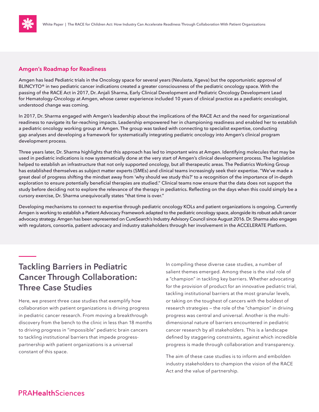

### **Amgen's Roadmap for Readiness**

Amgen has lead Pediatric trials in the Oncology space for several years (Neulasta, Xgeva) but the opportunistic approval of BLINCYTO<sup>®</sup> in two pediatric cancer indications created a greater consciousness of the pediatric oncology space. With the passing of the RACE Act in 2017, Dr. Anjali Sharma, Early Clinical Development and Pediatric Oncology Development Lead for Hematology-Oncology at Amgen, whose career experience included 10 years of clinical practice as a pediatric oncologist, understood change was coming.

In 2017, Dr. Sharma engaged with Amgen's leadership about the implications of the RACE Act and the need for organizational readiness to navigate its far–reaching impacts. Leadership empowered her in championing readiness and enabled her to establish a pediatric oncology working group at Amgen. The group was tasked with connecting to specialist expertise, conducting gap analyses and developing a framework for systematically integrating pediatric oncology into Amgen's clinical program development process.

Three years later, Dr. Sharma highlights that this approach has led to important wins at Amgen. Identifying molecules that may be used in pediatric indications is now systematically done at the very start of Amgen's clinical development process. The legislation helped to establish an infrastructure that not only supported oncology, but all therapeutic areas. The Pediatrics Working Group has established themselves as subject matter experts (SMEs) and clinical teams increasingly seek their expertise. "We've made a great deal of progress shifting the mindset away from 'why should we study this?' to a recognition of the importance of in-depth exploration to ensure potentially beneficial therapies are studied." Clinical teams now ensure that the data does not support the study before deciding not to explore the relevance of the therapy in pediatrics. Reflecting on the days when this could simply be a cursory exercise, Dr. Sharma unequivocally states "that time is over."

Developing mechanisms to connect to expertise through pediatric oncology KOLs and patient organizations is ongoing. Currently Amgen is working to establish a Patient Advocacy Framework adapted to the pediatric oncology space, alongside its robust adult cancer advocacy strategy. Amgen has been represented on CureSearch's Industry Advisory Council since August 2016. Dr. Sharma also engages with regulators, consortia, patient advocacy and industry stakeholders through her involvement in the ACCELERATE Platform.

# **Tackling Barriers in Pediatric Cancer Through Collaboration: Three Case Studies**

Here, we present three case studies that exemplify how collaboration with patient organizations is driving progress in pediatric cancer research. From moving a breakthrough discovery from the bench to the clinic in less than 18 months to driving progress in "impossible" pediatric brain cancers to tackling institutional barriers that impede progresspartnership with patient organizations is a universal constant of this space.

In compiling these diverse case studies, a number of salient themes emerged. Among these is the vital role of a "champion" in tackling key barriers. Whether advocating for the provision of product for an innovative pediatric trial, tackling institutional barriers at the most granular levels, or taking on the toughest of cancers with the boldest of research strategies — the role of the "champion" in driving progress was central and universal. Another is the multidimensional nature of barriers encountered in pediatric cancer research by all stakeholders. This is a landscape defined by staggering constraints, against which incredible progress is made through collaboration and transparency.

The aim of these case studies is to inform and embolden industry stakeholders to champion the vision of the RACE Act and the value of partnership.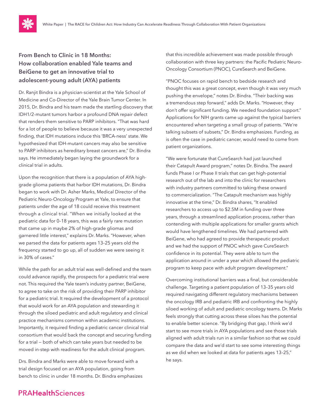

### **From Bench to Clinic in 18 Months: How collaboration enabled Yale teams and BeiGene to get an innovative trial to adolescent-young adult (AYA) patients**

Dr. Ranjit Bindra is a physician-scientist at the Yale School of Medicine and Co-Director of the Yale Brain Tumor Center. In 2015, Dr. Bindra and his team made the startling discovery that IDH1/2-mutant tumors harbor a profound DNA repair defect that renders them sensitive to PARP inhibitors. "That was hard for a lot of people to believe because it was a very unexpected finding, that IDH mutations induce this 'BRCA-ness' state. We hypothesized that IDH-mutant cancers may also be sensitive to PARP inhibitors as hereditary breast cancers are," Dr. Bindra says. He immediately began laying the groundwork for a clinical trial in adults.

Upon the recognition that there is a population of AYA highgrade glioma patients that harbor IDH mutations, Dr. Bindra began to work with Dr. Asher Marks, Medical Director of the Pediatric Neuro-Oncology Program at Yale, to ensure that patients under the age of 18 could receive this treatment through a clinical trial. "When we initially looked at the pediatric data for 0–18 years, this was a fairly rare mutation that came up in maybe 2% of high-grade gliomas and garnered little interest," explains Dr. Marks. "However, when we parsed the data for patients ages 13–25 years old the frequency started to go up, all of sudden we were seeing it in 30% of cases."

While the path for an adult trial was well-defined and the team could advance rapidly, the prospects for a pediatric trial were not. This required the Yale team's industry partner, BeiGene, to agree to take on the risk of providing their PARP inhibitor for a pediatric trial. It required the development of a protocol that would work for an AYA population and stewarding it through the siloed pediatric and adult regulatory and clinical practice mechanisms common within academic institutions. Importantly, it required finding a pediatric cancer clinical trial consortium that would back the concept and securing funding for a trial — both of which can take years but needed to be moved in-step with readiness for the adult clinical program.

Drs. Bindra and Marks were able to move forward with a trial design focused on an AYA population, going from bench to clinic in under 18 months. Dr. Bindra emphasizes that this incredible achievement was made possible through collaboration with three key partners: the Pacific Pediatric Neuro-Oncology Consortium (PNOC), CureSearch and BeiGene.

"PNOC focuses on rapid bench to bedside research and thought this was a great concept, even though it was very much pushing the envelope," notes Dr. Bindra. "Their backing was a tremendous step forward," adds Dr. Marks. "However, they don't offer significant funding. We needed foundation support." Applications for NIH grants came up against the typical barriers encountered when targeting a small group of patients. "We're talking subsets of subsets," Dr. Bindra emphasizes. Funding, as is often the case in pediatric cancer, would need to come from patient organizations.

"We were fortunate that CureSearch had just launched their Catapult Award program," notes Dr. Bindra. The award funds Phase I or Phase II trials that can get high-potential research out of the lab and into the clinic for researchers with industry partners committed to taking these onward to commercialization. "The Catapult mechanism was highly innovative at the time," Dr. Bindra shares, "It enabled researchers to access up to \$2.5M in funding over three years, through a streamlined application process, rather than contending with multiple applications for smaller grants which would have lengthened timelines. We had partnered with BeiGene, who had agreed to provide therapeutic product and we had the support of PNOC which gave CureSearch confidence in its potential. They were able to turn the application around in under a year which allowed the pediatric program to keep pace with adult program development."

Overcoming institutional barriers was a final, but considerable challenge. Targeting a patient population of 13–35 years old required navigating different regulatory mechanisms between the oncology IRB and pediatric IRB and confronting the highly siloed working of adult and pediatric oncology teams. Dr. Marks feels strongly that cutting across these siloes has the potential to enable better science. "By bridging that gap, I think we'd start to see more trials in AYA populations and see those trials aligned with adult trials run in a similar fashion so that we could compare the data and we'd start to see some interesting things as we did when we looked at data for patients ages 13–25," he says.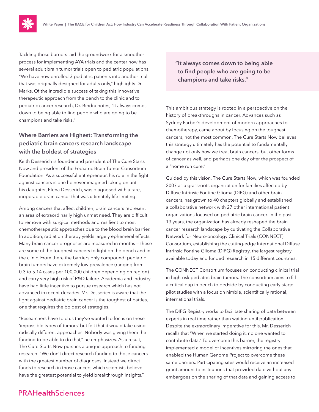Tackling those barriers laid the groundwork for a smoother process for implementing AYA trials and the center now has several adult brain tumor trials open to pediatric populations. "We have now enrolled 3 pediatric patients into another trial that was originally designed for adults only," highlights Dr. Marks. Of the incredible success of taking this innovative therapeutic approach from the bench to the clinic and to pediatric cancer research, Dr. Bindra notes, "It always comes down to being able to find people who are going to be champions and take risks."

### **Where Barriers are Highest: Transforming the pediatric brain cancers research landscape with the boldest of strategies**

Keith Desserich is founder and president of The Cure Starts Now and president of the Pediatric Brain Tumor Consortium Foundation. As a successful entrepreneur, his role in the fight against cancers is one he never imagined taking on until his daughter, Elena Desserich, was diagnosed with a rare, inoperable brain cancer that was ultimately life limiting.

Among cancers that affect children, brain cancers represent an area of extraordinarily high unmet need. They are difficult to remove with surgical methods and resilient to most chemotherapeutic approaches due to the blood brain barrier. In addition, radiation therapy yields largely ephemeral effects. Many brain cancer prognoses are measured in months — these are some of the toughest cancers to fight on the bench and in the clinic. From there the barriers only compound: pediatric brain tumors have extremely low prevalence (ranging from 0.3 to 5.14 cases per 100,000 children depending on region) and carry very high risk of R&D failure. Academia and industry have had little incentive to pursue research which has not advanced in recent decades. Mr. Desserich is aware that the fight against pediatric brain cancer is the toughest of battles, one that requires the boldest of strategies.

"Researchers have told us they've wanted to focus on these 'impossible types of tumors' but felt that it would take using radically different approaches. Nobody was giving them the funding to be able to do that," he emphasizes. As a result, The Cure Starts Now pursues a unique approach to funding research: "We don't direct research funding to those cancers with the greatest number of diagnoses. Instead we direct funds to research in those cancers which scientists believe have the greatest potential to yield breakthrough insights."

**"It always comes down to being able to find people who are going to be champions and take risks."**

This ambitious strategy is rooted in a perspective on the history of breakthroughs in cancer. Advances such as Sydney Farber's development of modern approaches to chemotherapy, came about by focusing on the toughest cancers, not the most common. The Cure Starts Now believes this strategy ultimately has the potential to fundamentally change not only how we treat brain cancers, but other forms of cancer as well, and perhaps one day offer the prospect of a "home run cure."

Guided by this vision, The Cure Starts Now, which was founded 2007 as a grassroots organization for families affected by Diffuse Intrinsic Pontine Glioma (DIPG) and other brain cancers, has grown to 40 chapters globally and established a collaborative network with 27 other international patient organizations focused on pediatric brain cancer. In the past 13 years, the organization has already reshaped the brain cancer research landscape by cultivating the Collaborative Network for Neuro-oncology Clinical Trials (CONNECT) Consortium, establishing the cutting-edge International Diffuse Intrinsic Pontine Glioma (DIPG) Registry, the largest registry available today and funded research in 15 different countries.

The CONNECT Consortium focuses on conducting clinical trial in high-risk pediatric brain tumors. The consortium aims to fill a critical gap in bench to bedside by conducting early stage pilot studies with a focus on nimble, scientifically rational, international trials.

The DIPG Registry works to facilitate sharing of data between experts in real time rather than waiting until publication. Despite the extraordinary imperative for this, Mr. Desserich recalls that "When we started doing it, no one wanted to contribute data." To overcome this barrier, the registry implemented a model of incentives mirroring the ones that enabled the Human Genome Project to overcome these same barriers. Participating sites would receive an increased grant amount to institutions that provided date without any embargoes on the sharing of that data and gaining access to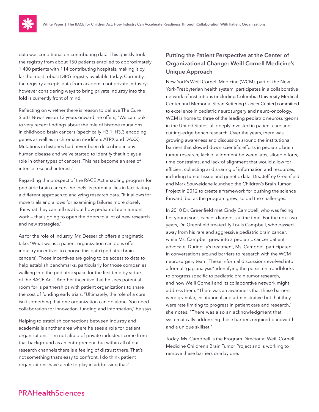data was conditional on contributing data. This quickly took the registry from about 150 patients enrolled to approximately 1,400 patients with 114 contributing hospitals, making it by far the most robust DIPG registry available today. Currently, the registry accepts data from academia not private industry; however considering ways to bring private industry into the fold is currently front of mind.

Reflecting on whether there is reason to believe The Cure Starts Now's vision 13 years onward, he offers, "We can look to very recent findings about the role of histone mutations in childhood brain cancers (specifically H3.1, H3.3 encoding genes as well as in chromatin modifiers ATRX and DAXX). Mutations in histones had never been described in any human disease and we've started to identify that it plays a role in other types of cancers. This has become an area of intense research interest."

Regarding the prospect of the RACE Act enabling progress for pediatric brain cancers, he feels its potential lies in facilitating a different approach to analyzing research data. "If it allows for more trials and allows for examining failures more closely for what they can tell us about how pediatric brain tumors work — that's going to open the doors to a lot of new research and new strategies."

As for the role of industry, Mr. Desserich offers a pragmatic take. "What we as a patient organization can do is offer industry incentives to choose this path (pediatric brain cancers). Those incentives are going to be access to data to help establish benchmarks, particularly for those companies walking into the pediatric space for the first time by virtue of the RACE Act." Another incentive that he sees potential room for is partnerships with patient organizations to share the cost of funding early trials. "Ultimately, the role of a cure isn't something that one organization can do alone. You need collaboration for innovation, funding and information," he says.

Helping to establish connections between industry and academia is another area where he sees a role for patient organizations. "I'm not afraid of private industry. I come from that background as an entrepreneur, but within all of our research channels there is a feeling of distrust there. That's not something that's easy to confront. I do think patient organizations have a role to play in addressing that."

### **Putting the Patient Perspective at the Center of Organizational Change: Weill Cornell Medicine's Unique Approach**

New York's Weill Cornell Medicine (WCM), part of the New York-Presbyterian health system, participates in a collaborative network of institutions (including Columbia University Medical Center and Memorial Sloan Kettering Cancer Center) committed to excellence in pediatric neurosurgery and neuro-oncology. WCM is home to three of the leading pediatric neurosurgeons in the United States, all deeply invested in patient care and cutting-edge bench research. Over the years, there was growing awareness and discussion around the institutional barriers that slowed down scientific efforts in pediatric brain tumor research; lack of alignment between labs, siloed efforts, time constraints, and lack of alignment that would allow for efficient collecting and sharing of information and resources, including tumor tissue and genetic data. Drs. Jeffrey Greenfield and Mark Souweidane launched the Children's Brain Tumor Project in 2012 to create a framework for pushing the science forward, but as the program grew, so did the challenges.

In 2010 Dr. Greenfield met Cindy Campbell, who was facing her young son's cancer diagnosis at the time. For the next two years, Dr. Greenfield treated Ty Louis Campbell, who passed away from his rare and aggressive pediatric brain cancer, while Ms. Campbell grew into a pediatric cancer patient advocate. During Ty's treatment, Ms. Campbell participated in conversations around barriers to research with the WCM neurosurgery team. These informal discussions evolved into a formal "gap analysis", identifying the persistent roadblocks to progress specific to pediatric brain tumor research, and how Weill Cornell and its collaborative network might address them. "There was an awareness that these barriers were granular, institutional and administrative but that they were rate limiting to progress in patient care and research," she notes. "There was also an acknowledgment that systematically addressing these barriers required bandwidth and a unique skillset."

Today, Ms. Campbell is the Program Director at Weill Cornell Medicine Children's Brain Tumor Project and is working to remove these barriers one by one.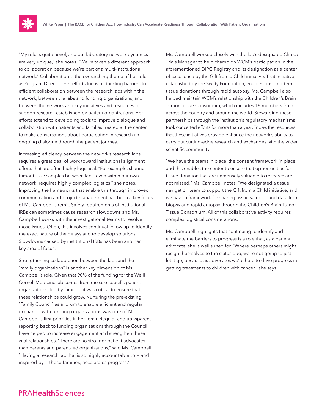"My role is quite novel, and our laboratory network dynamics are very unique," she notes. "We've taken a different approach to collaboration because we're part of a multi-institutional network." Collaboration is the overarching theme of her role as Program Director. Her efforts focus on tackling barriers to efficient collaboration between the research labs within the network, between the labs and funding organizations, and between the network and key initiatives and resources to support research established by patient organizations. Her efforts extend to developing tools to improve dialogue and collaboration with patients and families treated at the center to make conversations about participation in research an ongoing dialogue through the patient journey.

Increasing efficiency between the network's research labs requires a great deal of work toward institutional alignment, efforts that are often highly logistical. "For example, sharing tumor tissue samples between labs, even within our own network, requires highly complex logistics," she notes. Improving the frameworks that enable this through improved communication and project management has been a key focus of Ms. Campbell's remit. Safety requirements of institutional IRBs can sometimes cause research slowdowns and Ms. Campbell works with the investigational teams to resolve those issues. Often, this involves continual follow up to identify the exact nature of the delays and to develop solutions. Slowdowns caused by institutional IRBs has been another key area of focus.

Strengthening collaboration between the labs and the "family organizations" is another key dimension of Ms. Campbell's role. Given that 90% of the funding for the Weill Cornell Medicine lab comes from disease-specific patient organizations, led by families, it was critical to ensure that these relationships could grow. Nurturing the pre-existing "Family Council" as a forum to enable efficient and regular exchange with funding organizations was one of Ms. Campbell's first priorities in her remit. Regular and transparent reporting back to funding organizations through the Council have helped to increase engagement and strengthen these vital relationships. "There are no stronger patient advocates than parents and parent-led organizations," said Ms. Campbell. "Having a research lab that is so highly accountable to — and inspired by — these families, accelerates progress."

Ms. Campbell worked closely with the lab's designated Clinical Trials Manager to help champion WCM's participation in the aforementioned DIPG Registry and its designation as a center of excellence by the Gift from a Child initiative. That initiative, established by the Swifty Foundation, enables post-mortem tissue donations through rapid autopsy. Ms. Campbell also helped maintain WCM's relationship with the Children's Brain Tumor Tissue Consortium, which includes 18 members from across the country and around the world. Stewarding these partnerships through the institution's regulatory mechanisms took concerted efforts for more than a year. Today, the resources that these initiatives provide enhance the network's ability to carry out cutting-edge research and exchanges with the wider scientific community.

"We have the teams in place, the consent framework in place, and this enables the center to ensure that opportunities for tissue donation that are immensely valuable to research are not missed," Ms. Campbell notes. "We designated a tissue navigation team to support the Gift from a Child initiative, and we have a framework for sharing tissue samples and data from biopsy and rapid autopsy through the Children's Brain Tumor Tissue Consortium. All of this collaborative activity requires complex logistical considerations."

Ms. Campbell highlights that continuing to identify and eliminate the barriers to progress is a role that, as a patient advocate, she is well suited for. "Where perhaps others might resign themselves to the status quo, we're not going to just let it go, because as advocates we're here to drive progress in getting treatments to children with cancer," she says.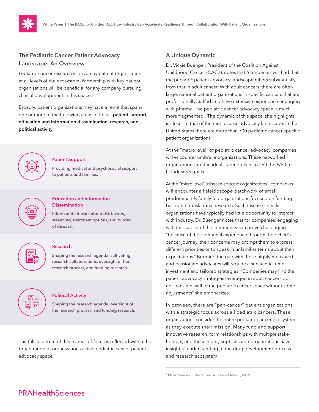

### **The Pediatric Cancer Patient Advocacy Landscape: An Overview**

Pediatric cancer research is driven by patient organizations at all levels of the ecosystem. Partnership with key patient organizations will be beneficial for any company pursuing clinical development in this space.

Broadly, patient organizations may have a remit that spans one or more of the following areas of focus: **patient support, education and information dissemination, research, and political activity.**



### **Patient Support**

**Providing medical and psychosocial support to patients and families.**



### **Inform and educate about risk factors, screening, treatment options, and burden**

**Dissemination**

**Education and Information** 



### **Research**

**of disease.**

**Shaping the research agenda, cultivating research collaborations, oversight of the research process, and funding research.**



#### **Political Activity**

**Shaping the research agenda, oversight of the research process, and funding research.**

The full spectrum of these areas of focus is reflected within the broad range of organizations active pediatric cancer patient advocacy space.

### **A Unique Dynamic**

Dr. Vickie Buenger, President of the Coalition Against Childhood Cancer (CAC2), notes that "companies will find that the pediatric patient advocacy landscape differs substantially from that in adult cancer. With adult cancers, there are often large, national patient organizations in specific cancers that are professionally staffed and have extensive experience engaging with pharma. The pediatric cancer advocacy space is much more fragmented." The dynamic of this space, she highlights, is closer to that of the rare disease advocacy landscape. In the United States there are more than 700 pediatric cancer specific patient organizations<sup>2</sup>.

At the "macro level" of pediatric cancer advocacy, companies will encounter umbrella organizations. These networked organizations are the ideal starting place to find the PAO to fit industry's goals.

At the "micro level" (disease-specific organizations), companies will encounter a kaleidoscope patchwork of small, predominantly family-led organizations focused on funding basic and translational research. Such disease-specific organizations have typically had little opportunity to interact with industry. Dr. Buenger notes that for companies, engaging with this subset of the community can prove challenging — "because of their personal experience through their child's cancer journey, their concerns may prompt them to express different priorities or to speak in unfamiliar terms about their expectations." Bridging the gap with these highly motivated and passionate advocates will require a substantial time investment and tailored strategies. "Companies may find the patient advocacy strategies leveraged in adult cancers do not translate well to the pediatric cancer space without some adjustments" she emphasizes.

In between, there are "pan-cancer" patient organizations, with a strategic focus across all pediatric cancers. These organizations consider the entire pediatric cancer ecosystem as they execute their mission. Many fund and support innovative research, form relationships with multiple stakeholders, and these highly sophisticated organizations have insightful understanding of the drug development process and research ecosystem.

<sup>2</sup> [https://www.guidestar.org](https://www.guidestar.org/). Accessed May 1, 2019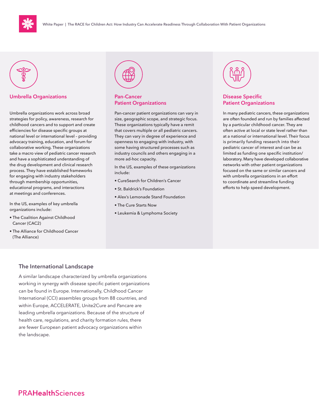



### **Umbrella Organizations Pan-Cancer**

Umbrella organizations work across broad strategies for policy, awareness, research for childhood cancers and to support and create efficiencies for disease specific groups at national level or international level – providing advocacy training, education, and forum for collaborative working. These organizations take a macro view of pediatric cancer research and have a sophisticated understanding of the drug development and clinical research process. They have established frameworks for engaging with industry stakeholders through membership opportunities, educational programs, and interactions at meetings and conferences.

In the US, examples of key umbrella organizations include:

- The Coalition Against Childhood Cancer (CAC2)
- The Alliance for Childhood Cancer (The Alliance)



# **Patient Organizations**

Pan-cancer patient organizations can vary in size, geographic scope, and strategic focus. These organizations typically have a remit that covers multiple or all pediatric cancers. They can vary in degree of experience and openness to engaging with industry, with some having structured processes such as industry councils and others engaging in a more ad-hoc capacity.

In the US, examples of these organizations include:

- CureSearch for Children's Cancer
- St. Baldrick's Foundation
- Alex's Lemonade Stand Foundation
- The Cure Starts Now
- Leukemia & Lymphoma Society



### **Disease Specific Patient Organizations**

In many pediatric cancers, these organizations are often founded and run by families affected by a particular childhood cancer. They are often active at local or state level rather than at a national or international level. Their focus is primarily funding research into their pediatric cancer of interest and can be as limited as funding one specific institution/ laboratory. Many have developed collaborative networks with other patient organizations focused on the same or similar cancers and with umbrella organizations in an effort to coordinate and streamline funding efforts to help speed development.

### **The International Landscape**

A similar landscape characterized by umbrella organizations working in synergy with disease specific patient organizations can be found in Europe. Internationally, Childhood Cancer International (CCI) assembles groups from 88 countries, and within Europe, ACCELERATE, Unite2Cure and Pancare are leading umbrella organizations. Because of the structure of health care, regulations, and charity formation rules, there are fewer European patient advocacy organizations within the landscape.